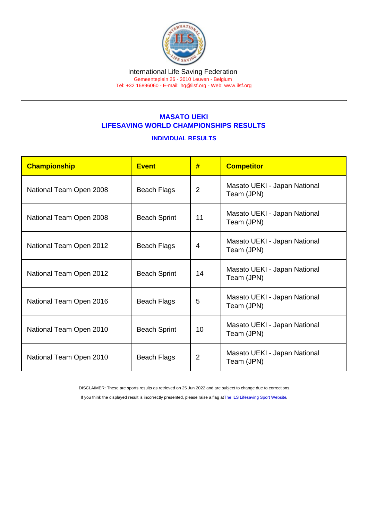#### International Life Saving Federation Gemeenteplein 26 - 3010 Leuven - Belgium

Tel: +32 16896060 - E-mail: [hq@ilsf.org](mailto:hq@ilsf.org) - Web: [www.ilsf.org](https://www.ilsf.org)

# MASATO UEKI LIFESAVING WORLD CHAMPIONSHIPS RESULTS

## INDIVIDUAL RESULTS

| Championship            | <b>Event</b>        | #              | <b>Competitor</b>                          |  |
|-------------------------|---------------------|----------------|--------------------------------------------|--|
| National Team Open 2008 | <b>Beach Flags</b>  | $\overline{2}$ | Masato UEKI - Japan National<br>Team (JPN) |  |
| National Team Open 2008 | <b>Beach Sprint</b> | 11             | Masato UEKI - Japan National<br>Team (JPN) |  |
| National Team Open 2012 | <b>Beach Flags</b>  | 4              | Masato UEKI - Japan National<br>Team (JPN) |  |
| National Team Open 2012 | <b>Beach Sprint</b> | 14             | Masato UEKI - Japan National<br>Team (JPN) |  |
| National Team Open 2016 | <b>Beach Flags</b>  | 5              | Masato UEKI - Japan National<br>Team (JPN) |  |
| National Team Open 2010 | <b>Beach Sprint</b> | 10             | Masato UEKI - Japan National<br>Team (JPN) |  |
| National Team Open 2010 | <b>Beach Flags</b>  | $\overline{2}$ | Masato UEKI - Japan National<br>Team (JPN) |  |

DISCLAIMER: These are sports results as retrieved on 25 Jun 2022 and are subject to change due to corrections.

If you think the displayed result is incorrectly presented, please raise a flag at [The ILS Lifesaving Sport Website.](https://sport.ilsf.org)